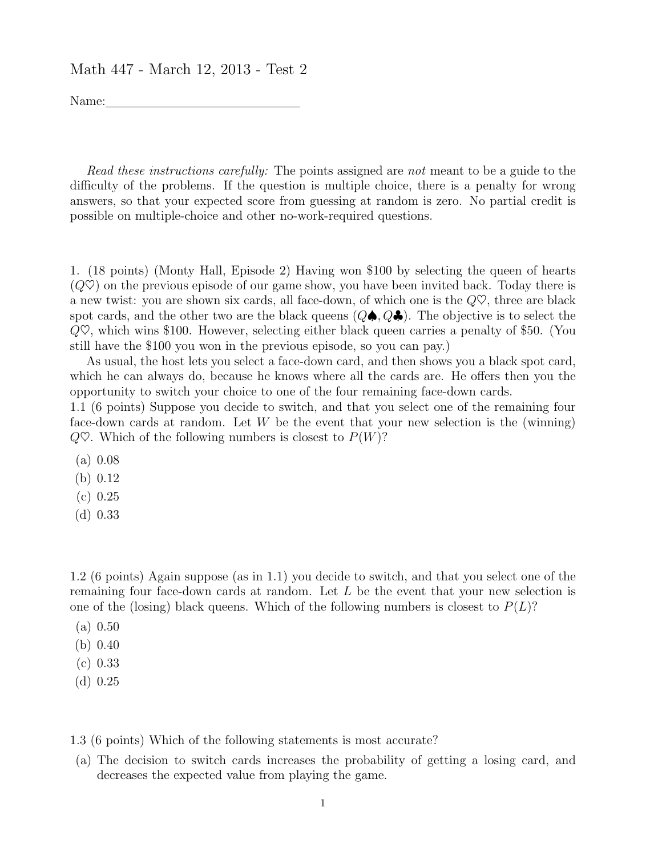## Math 447 - March 12, 2013 - Test 2

Name:

Read these instructions carefully: The points assigned are not meant to be a guide to the difficulty of the problems. If the question is multiple choice, there is a penalty for wrong answers, so that your expected score from guessing at random is zero. No partial credit is possible on multiple-choice and other no-work-required questions.

1. (18 points) (Monty Hall, Episode 2) Having won \$100 by selecting the queen of hearts  $(Q\heartsuit)$  on the previous episode of our game show, you have been invited back. Today there is a new twist: you are shown six cards, all face-down, of which one is the  $Q\heartsuit$ , three are black spot cards, and the other two are the black queens  $(Q\spadesuit, Q\clubsuit)$ . The objective is to select the  $Q\heartsuit$ , which wins \$100. However, selecting either black queen carries a penalty of \$50. (You still have the \$100 you won in the previous episode, so you can pay.)

As usual, the host lets you select a face-down card, and then shows you a black spot card, which he can always do, because he knows where all the cards are. He offers then you the opportunity to switch your choice to one of the four remaining face-down cards.

1.1 (6 points) Suppose you decide to switch, and that you select one of the remaining four face-down cards at random. Let  $W$  be the event that your new selection is the (winning)  $Q\heartsuit$ . Which of the following numbers is closest to  $P(W)$ ?

- (a) 0.08
- (b) 0.12
- (c) 0.25
- (d) 0.33

1.2 (6 points) Again suppose (as in 1.1) you decide to switch, and that you select one of the remaining four face-down cards at random. Let L be the event that your new selection is one of the (losing) black queens. Which of the following numbers is closest to  $P(L)$ ?

- (a) 0.50
- (b) 0.40
- (c) 0.33
- (d) 0.25

1.3 (6 points) Which of the following statements is most accurate?

(a) The decision to switch cards increases the probability of getting a losing card, and decreases the expected value from playing the game.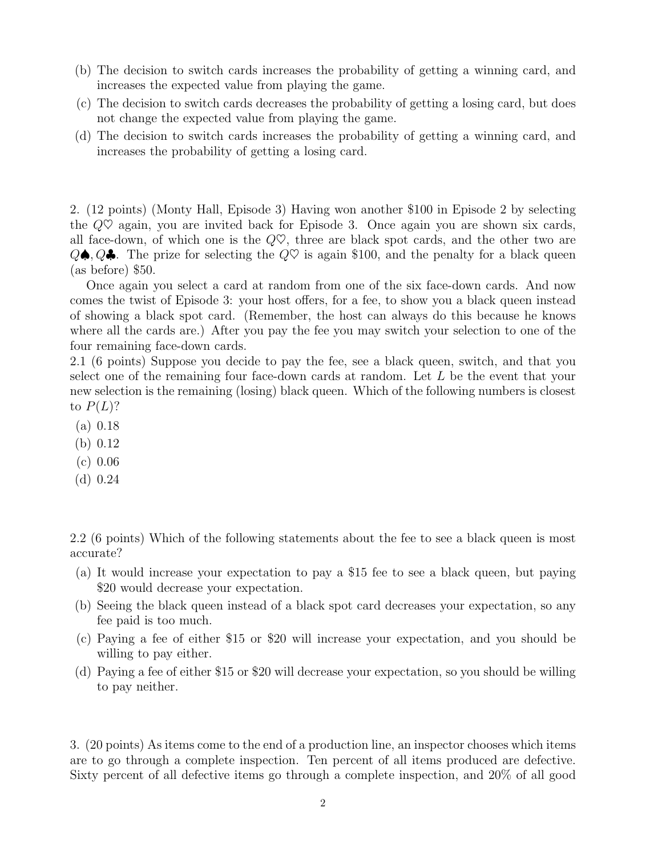- (b) The decision to switch cards increases the probability of getting a winning card, and increases the expected value from playing the game.
- (c) The decision to switch cards decreases the probability of getting a losing card, but does not change the expected value from playing the game.
- (d) The decision to switch cards increases the probability of getting a winning card, and increases the probability of getting a losing card.

2. (12 points) (Monty Hall, Episode 3) Having won another \$100 in Episode 2 by selecting the  $Q\heartsuit$  again, you are invited back for Episode 3. Once again you are shown six cards, all face-down, of which one is the  $Q\nabla$ , three are black spot cards, and the other two are  $Q\spadesuit, Q\clubsuit$ . The prize for selecting the  $Q\heartsuit$  is again \$100, and the penalty for a black queen (as before) \$50.

Once again you select a card at random from one of the six face-down cards. And now comes the twist of Episode 3: your host offers, for a fee, to show you a black queen instead of showing a black spot card. (Remember, the host can always do this because he knows where all the cards are.) After you pay the fee you may switch your selection to one of the four remaining face-down cards.

2.1 (6 points) Suppose you decide to pay the fee, see a black queen, switch, and that you select one of the remaining four face-down cards at random. Let  $L$  be the event that your new selection is the remaining (losing) black queen. Which of the following numbers is closest to  $P(L)$ ?

- (a) 0.18
- (b) 0.12
- (c) 0.06
- (d) 0.24

2.2 (6 points) Which of the following statements about the fee to see a black queen is most accurate?

- (a) It would increase your expectation to pay a \$15 fee to see a black queen, but paying \$20 would decrease your expectation.
- (b) Seeing the black queen instead of a black spot card decreases your expectation, so any fee paid is too much.
- (c) Paying a fee of either \$15 or \$20 will increase your expectation, and you should be willing to pay either.
- (d) Paying a fee of either \$15 or \$20 will decrease your expectation, so you should be willing to pay neither.

3. (20 points) As items come to the end of a production line, an inspector chooses which items are to go through a complete inspection. Ten percent of all items produced are defective. Sixty percent of all defective items go through a complete inspection, and 20% of all good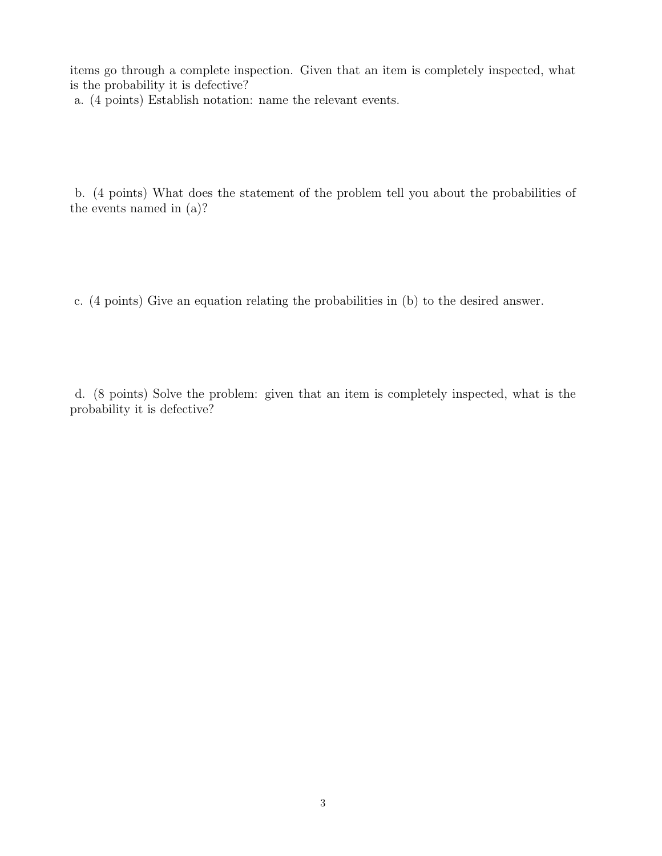items go through a complete inspection. Given that an item is completely inspected, what is the probability it is defective?

a. (4 points) Establish notation: name the relevant events.

b. (4 points) What does the statement of the problem tell you about the probabilities of the events named in (a)?

c. (4 points) Give an equation relating the probabilities in (b) to the desired answer.

d. (8 points) Solve the problem: given that an item is completely inspected, what is the probability it is defective?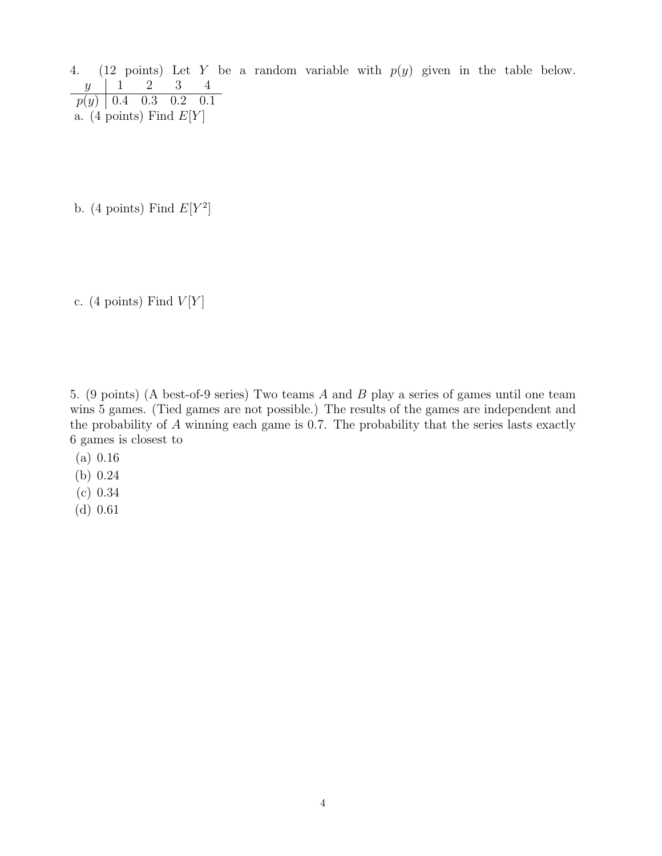4. (12 points) Let Y be a random variable with  $p(y)$  given in the table below.<br> $y \mid 1 \quad 2 \quad 3 \quad 4$  $y \begin{array}{|c|c|c|c|} \hline 1 & 2 & 3 & 4 \ \hline \end{array}$  $p(y)$  | 0.4 0.3 0.2 0.1 a. (4 points) Find  $E[Y]$ 

b. (4 points) Find  $E[Y^2]$ 

c. (4 points) Find  $V[Y]$ 

5. (9 points) (A best-of-9 series) Two teams A and B play a series of games until one team wins 5 games. (Tied games are not possible.) The results of the games are independent and the probability of  $A$  winning each game is 0.7. The probability that the series lasts exactly 6 games is closest to

- (a) 0.16
- (b) 0.24
- (c) 0.34
- (d) 0.61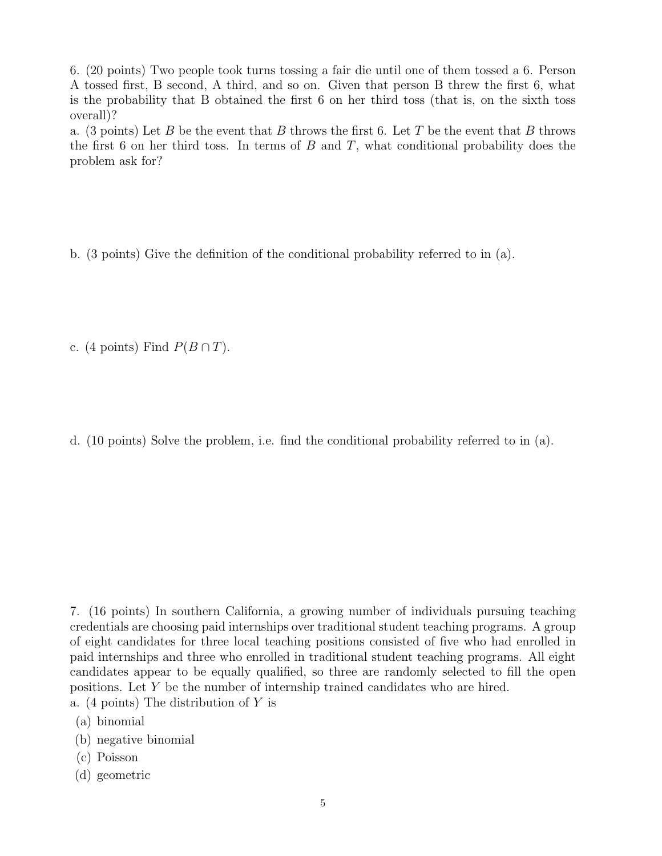6. (20 points) Two people took turns tossing a fair die until one of them tossed a 6. Person A tossed first, B second, A third, and so on. Given that person B threw the first 6, what is the probability that B obtained the first 6 on her third toss (that is, on the sixth toss overall)?

a. (3 points) Let B be the event that B throws the first 6. Let T be the event that B throws the first 6 on her third toss. In terms of  $B$  and  $T$ , what conditional probability does the problem ask for?

b. (3 points) Give the definition of the conditional probability referred to in (a).

c. (4 points) Find  $P(B \cap T)$ .

d. (10 points) Solve the problem, i.e. find the conditional probability referred to in (a).

7. (16 points) In southern California, a growing number of individuals pursuing teaching credentials are choosing paid internships over traditional student teaching programs. A group of eight candidates for three local teaching positions consisted of five who had enrolled in paid internships and three who enrolled in traditional student teaching programs. All eight candidates appear to be equally qualified, so three are randomly selected to fill the open positions. Let Y be the number of internship trained candidates who are hired.

- a. (4 points) The distribution of Y is
- (a) binomial
- (b) negative binomial
- (c) Poisson
- (d) geometric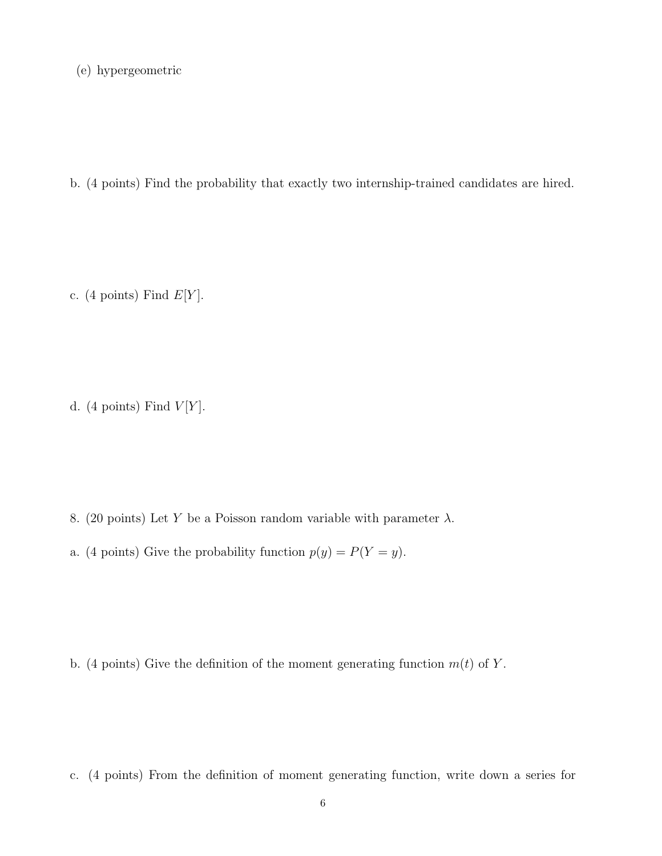(e) hypergeometric

b. (4 points) Find the probability that exactly two internship-trained candidates are hired.

c. (4 points) Find  $E[Y]$ .

d. (4 points) Find  $V[Y]$ .

- 8. (20 points) Let Y be a Poisson random variable with parameter  $\lambda$ .
- a. (4 points) Give the probability function  $p(y) = P(Y = y)$ .

b. (4 points) Give the definition of the moment generating function  $m(t)$  of Y.

c. (4 points) From the definition of moment generating function, write down a series for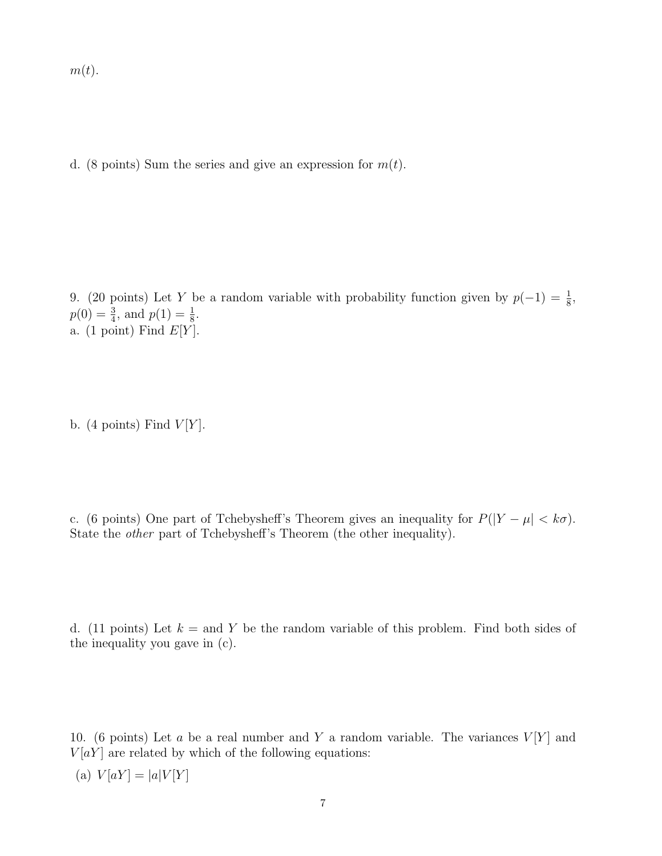$m(t)$ .

d. (8 points) Sum the series and give an expression for  $m(t)$ .

9. (20 points) Let Y be a random variable with probability function given by  $p(-1) = \frac{1}{8}$ ,  $p(0) = \frac{3}{4}$ , and  $p(1) = \frac{1}{8}$ . a. (1 point) Find  $E[Y]$ .

b. (4 points) Find  $V[Y]$ .

c. (6 points) One part of Tchebysheff's Theorem gives an inequality for  $P(|Y - \mu| < k\sigma)$ . State the *other* part of Tchebysheff's Theorem (the other inequality).

d. (11 points) Let  $k =$  and Y be the random variable of this problem. Find both sides of the inequality you gave in (c).

10. (6 points) Let a be a real number and Y a random variable. The variances  $V[Y]$  and  $V[aY]$  are related by which of the following equations:

(a)  $V[aY] = |a|V[Y]$